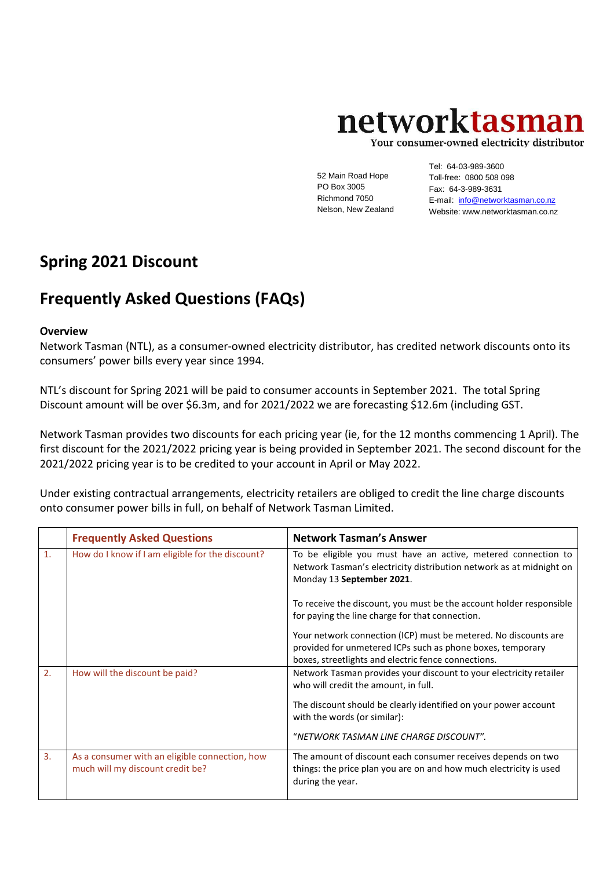## networktasman

Your consumer-owned electricity distributor

52 Main Road Hope PO Box 3005 Richmond 7050 Nelson, New Zealand

Tel: 64-03-989-3600 Toll-free: 0800 508 098 Fax: 64-3-989-3631 E-mail: info@networktasman.co,nz Website: www.networktasman.co.nz

## **Spring 2021 Discount**

## **Frequently Asked Questions (FAQs)**

## **Overview**

Network Tasman (NTL), as a consumer-owned electricity distributor, has credited network discounts onto its consumers' power bills every year since 1994.

NTL's discount for Spring 2021 will be paid to consumer accounts in September 2021. The total Spring Discount amount will be over \$6.3m, and for 2021/2022 we are forecasting \$12.6m (including GST.

Network Tasman provides two discounts for each pricing year (ie, for the 12 months commencing 1 April). The first discount for the 2021/2022 pricing year is being provided in September 2021. The second discount for the 2021/2022 pricing year is to be credited to your account in April or May 2022.

Under existing contractual arrangements, electricity retailers are obliged to credit the line charge discounts onto consumer power bills in full, on behalf of Network Tasman Limited.

|                | <b>Frequently Asked Questions</b>                                                  | <b>Network Tasman's Answer</b>                                                                                                                                                       |
|----------------|------------------------------------------------------------------------------------|--------------------------------------------------------------------------------------------------------------------------------------------------------------------------------------|
| $\mathbf{1}$ . | How do I know if I am eligible for the discount?                                   | To be eligible you must have an active, metered connection to<br>Network Tasman's electricity distribution network as at midnight on<br>Monday 13 September 2021.                    |
|                |                                                                                    | To receive the discount, you must be the account holder responsible<br>for paying the line charge for that connection.                                                               |
|                |                                                                                    | Your network connection (ICP) must be metered. No discounts are<br>provided for unmetered ICPs such as phone boxes, temporary<br>boxes, streetlights and electric fence connections. |
| 2.             | How will the discount be paid?                                                     | Network Tasman provides your discount to your electricity retailer<br>who will credit the amount, in full.                                                                           |
|                |                                                                                    | The discount should be clearly identified on your power account<br>with the words (or similar):                                                                                      |
|                |                                                                                    | "NETWORK TASMAN LINE CHARGE DISCOUNT".                                                                                                                                               |
| 3.             | As a consumer with an eligible connection, how<br>much will my discount credit be? | The amount of discount each consumer receives depends on two<br>things: the price plan you are on and how much electricity is used<br>during the year.                               |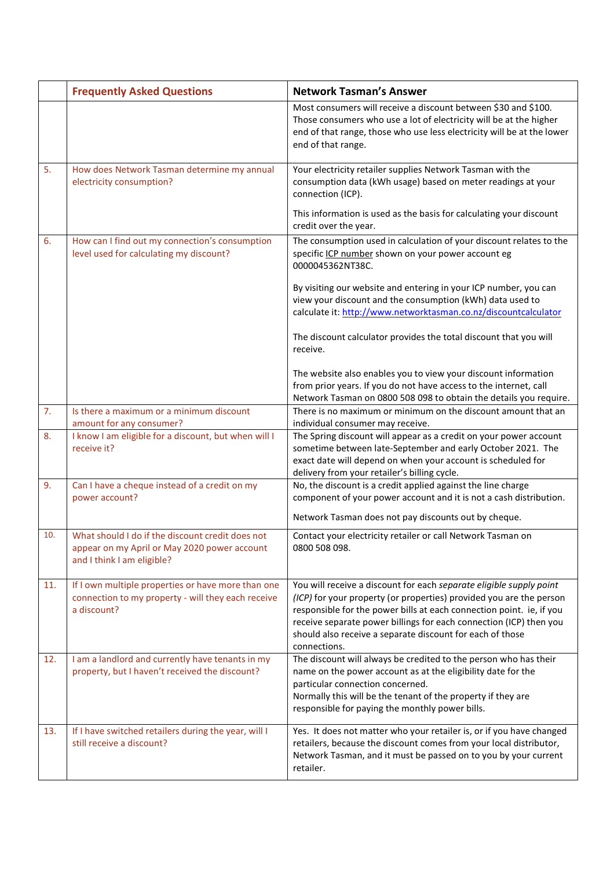|     | <b>Frequently Asked Questions</b>                                                                                              | <b>Network Tasman's Answer</b>                                                                                                                                                                                                                                                                                                                                        |
|-----|--------------------------------------------------------------------------------------------------------------------------------|-----------------------------------------------------------------------------------------------------------------------------------------------------------------------------------------------------------------------------------------------------------------------------------------------------------------------------------------------------------------------|
|     |                                                                                                                                | Most consumers will receive a discount between \$30 and \$100.<br>Those consumers who use a lot of electricity will be at the higher<br>end of that range, those who use less electricity will be at the lower<br>end of that range.                                                                                                                                  |
| 5.  | How does Network Tasman determine my annual<br>electricity consumption?                                                        | Your electricity retailer supplies Network Tasman with the<br>consumption data (kWh usage) based on meter readings at your<br>connection (ICP).                                                                                                                                                                                                                       |
|     |                                                                                                                                | This information is used as the basis for calculating your discount<br>credit over the year.                                                                                                                                                                                                                                                                          |
| 6.  | How can I find out my connection's consumption<br>level used for calculating my discount?                                      | The consumption used in calculation of your discount relates to the<br>specific ICP number shown on your power account eg<br>0000045362NT38C.                                                                                                                                                                                                                         |
|     |                                                                                                                                | By visiting our website and entering in your ICP number, you can<br>view your discount and the consumption (kWh) data used to<br>calculate it: http://www.networktasman.co.nz/discountcalculator                                                                                                                                                                      |
|     |                                                                                                                                | The discount calculator provides the total discount that you will<br>receive.                                                                                                                                                                                                                                                                                         |
|     |                                                                                                                                | The website also enables you to view your discount information<br>from prior years. If you do not have access to the internet, call<br>Network Tasman on 0800 508 098 to obtain the details you require.                                                                                                                                                              |
| 7.  | Is there a maximum or a minimum discount                                                                                       | There is no maximum or minimum on the discount amount that an                                                                                                                                                                                                                                                                                                         |
| 8.  | amount for any consumer?<br>I know I am eligible for a discount, but when will I<br>receive it?                                | individual consumer may receive.<br>The Spring discount will appear as a credit on your power account<br>sometime between late-September and early October 2021. The<br>exact date will depend on when your account is scheduled for<br>delivery from your retailer's billing cycle.                                                                                  |
| 9.  | Can I have a cheque instead of a credit on my<br>power account?                                                                | No, the discount is a credit applied against the line charge<br>component of your power account and it is not a cash distribution.                                                                                                                                                                                                                                    |
|     |                                                                                                                                | Network Tasman does not pay discounts out by cheque.                                                                                                                                                                                                                                                                                                                  |
| 10. | What should I do if the discount credit does not<br>appear on my April or May 2020 power account<br>and I think I am eligible? | Contact your electricity retailer or call Network Tasman on<br>0800 508 098.                                                                                                                                                                                                                                                                                          |
| 11. | If I own multiple properties or have more than one<br>connection to my property - will they each receive<br>a discount?        | You will receive a discount for each separate eligible supply point<br>(ICP) for your property (or properties) provided you are the person<br>responsible for the power bills at each connection point. ie, if you<br>receive separate power billings for each connection (ICP) then you<br>should also receive a separate discount for each of those<br>connections. |
| 12. | I am a landlord and currently have tenants in my<br>property, but I haven't received the discount?                             | The discount will always be credited to the person who has their<br>name on the power account as at the eligibility date for the<br>particular connection concerned.<br>Normally this will be the tenant of the property if they are<br>responsible for paying the monthly power bills.                                                                               |
| 13. | If I have switched retailers during the year, will I<br>still receive a discount?                                              | Yes. It does not matter who your retailer is, or if you have changed<br>retailers, because the discount comes from your local distributor,<br>Network Tasman, and it must be passed on to you by your current<br>retailer.                                                                                                                                            |